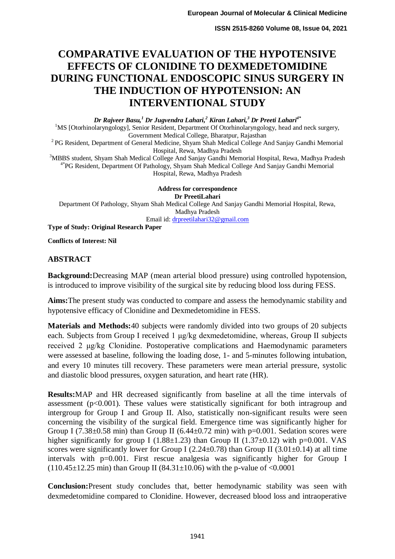# **COMPARATIVE EVALUATION OF THE HYPOTENSIVE EFFECTS OF CLONIDINE TO DEXMEDETOMIDINE DURING FUNCTIONAL ENDOSCOPIC SINUS SURGERY IN THE INDUCTION OF HYPOTENSION: AN INTERVENTIONAL STUDY**

*Dr Rajveer Basu,<sup>1</sup> Dr Jugvendra Lahari,<sup>2</sup> Kiran Lahari,<sup>3</sup> Dr Preeti Lahari4\**

<sup>1</sup>MS [Otorhinolaryngology], Senior Resident, Department Of Otorhinolaryngology, head and neck surgery, Government Medical College, Bharatpur, Rajasthan

<sup>2</sup> PG Resident, Department of General Medicine, Shyam Shah Medical College And Sanjay Gandhi Memorial Hospital, Rewa, Madhya Pradesh

<sup>3</sup>MBBS student, Shyam Shah Medical College And Sanjay Gandhi Memorial Hospital, Rewa, Madhya Pradesh 4\*PG Resident, Department Of Pathology, Shyam Shah Medical College And Sanjay Gandhi Memorial Hospital, Rewa, Madhya Pradesh

**Address for correspondence Dr PreetiLahari** Department Of Pathology, Shyam Shah Medical College And Sanjay Gandhi Memorial Hospital, Rewa, Madhya Pradesh Email id[: drpreetilahari32@gmail.com](mailto:drpreetilahari32@gmail.com) **Type of Study: Original Research Paper**

**Conflicts of Interest: Nil**

# **ABSTRACT**

**Background:**Decreasing MAP (mean arterial blood pressure) using controlled hypotension, is introduced to improve visibility of the surgical site by reducing blood loss during FESS.

**Aims:**The present study was conducted to compare and assess the hemodynamic stability and hypotensive efficacy of Clonidine and Dexmedetomidine in FESS.

**Materials and Methods:**40 subjects were randomly divided into two groups of 20 subjects each. Subjects from Group I received 1 μg/kg dexmedetomidine, whereas, Group II subjects received 2 μg/kg Clonidine. Postoperative complications and Haemodynamic parameters were assessed at baseline, following the loading dose, 1- and 5-minutes following intubation, and every 10 minutes till recovery. These parameters were mean arterial pressure, systolic and diastolic blood pressures, oxygen saturation, and heart rate (HR).

**Results:**MAP and HR decreased significantly from baseline at all the time intervals of assessment ( $p<0.001$ ). These values were statistically significant for both intragroup and intergroup for Group I and Group II. Also, statistically non-significant results were seen concerning the visibility of the surgical field. Emergence time was significantly higher for Group I (7.38 $\pm$ 0.58 min) than Group II (6.44 $\pm$ 0.72 min) with p=0.001. Sedation scores were higher significantly for group I (1.88 $\pm$ 1.23) than Group II (1.37 $\pm$ 0.12) with p=0.001. VAS scores were significantly lower for Group I (2.24 $\pm$ 0.78) than Group II (3.01 $\pm$ 0.14) at all time intervals with p=0.001. First rescue analgesia was significantly higher for Group I (110.45 $\pm$ 12.25 min) than Group II (84.31 $\pm$ 10.06) with the p-value of <0.0001

**Conclusion:**Present study concludes that, better hemodynamic stability was seen with dexmedetomidine compared to Clonidine. However, decreased blood loss and intraoperative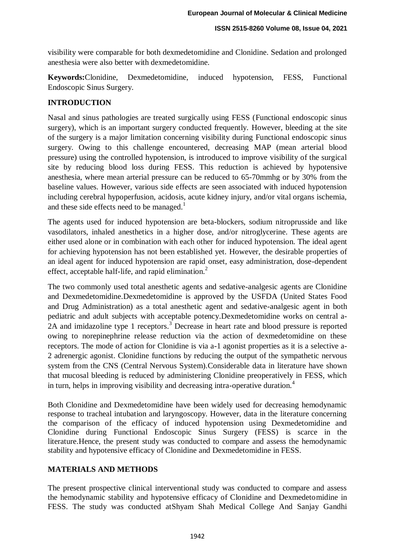visibility were comparable for both dexmedetomidine and Clonidine. Sedation and prolonged anesthesia were also better with dexmedetomidine.

**Keywords:**Clonidine, Dexmedetomidine, induced hypotension, FESS, Functional Endoscopic Sinus Surgery.

### **INTRODUCTION**

Nasal and sinus pathologies are treated surgically using FESS (Functional endoscopic sinus surgery), which is an important surgery conducted frequently. However, bleeding at the site of the surgery is a major limitation concerning visibility during Functional endoscopic sinus surgery. Owing to this challenge encountered, decreasing MAP (mean arterial blood pressure) using the controlled hypotension, is introduced to improve visibility of the surgical site by reducing blood loss during FESS. This reduction is achieved by hypotensive anesthesia, where mean arterial pressure can be reduced to 65-70mmhg or by 30% from the baseline values. However, various side effects are seen associated with induced hypotension including cerebral hypoperfusion, acidosis, acute kidney injury, and/or vital organs ischemia, and these side effects need to be managed.<sup>1</sup>

The agents used for induced hypotension are beta-blockers, sodium nitroprusside and like vasodilators, inhaled anesthetics in a higher dose, and/or nitroglycerine. These agents are either used alone or in combination with each other for induced hypotension. The ideal agent for achieving hypotension has not been established yet. However, the desirable properties of an ideal agent for induced hypotension are rapid onset, easy administration, dose-dependent effect, acceptable half-life, and rapid elimination.<sup>2</sup>

The two commonly used total anesthetic agents and sedative-analgesic agents are Clonidine and Dexmedetomidine.Dexmedetomidine is approved by the USFDA (United States Food and Drug Administration) as a total anesthetic agent and sedative-analgesic agent in both pediatric and adult subjects with acceptable potency.Dexmedetomidine works on central a-2A and imidazoline type 1 receptors.<sup>3</sup> Decrease in heart rate and blood pressure is reported owing to norepinephrine release reduction via the action of dexmedetomidine on these receptors. The mode of action for Clonidine is via a-1 agonist properties as it is a selective a-2 adrenergic agonist. Clonidine functions by reducing the output of the sympathetic nervous system from the CNS (Central Nervous System).Considerable data in literature have shown that mucosal bleeding is reduced by administering Clonidine preoperatively in FESS, which in turn, helps in improving visibility and decreasing intra-operative duration.<sup>4</sup>

Both Clonidine and Dexmedetomidine have been widely used for decreasing hemodynamic response to tracheal intubation and laryngoscopy. However, data in the literature concerning the comparison of the efficacy of induced hypotension using Dexmedetomidine and Clonidine during Functional Endoscopic Sinus Surgery (FESS) is scarce in the literature.Hence, the present study was conducted to compare and assess the hemodynamic stability and hypotensive efficacy of Clonidine and Dexmedetomidine in FESS.

### **MATERIALS AND METHODS**

The present prospective clinical interventional study was conducted to compare and assess the hemodynamic stability and hypotensive efficacy of Clonidine and Dexmedetomidine in FESS. The study was conducted atShyam Shah Medical College And Sanjay Gandhi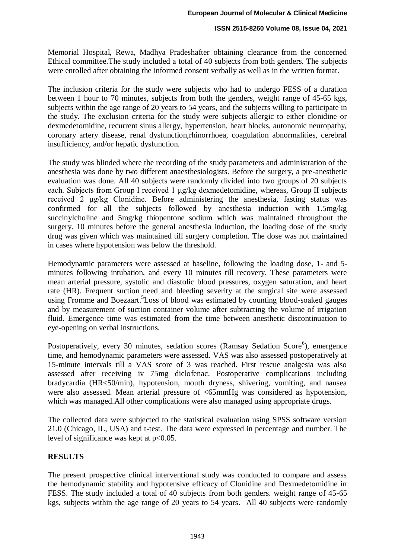Memorial Hospital, Rewa, Madhya Pradeshafter obtaining clearance from the concerned Ethical committee.The study included a total of 40 subjects from both genders. The subjects were enrolled after obtaining the informed consent verbally as well as in the written format.

The inclusion criteria for the study were subjects who had to undergo FESS of a duration between 1 hour to 70 minutes, subjects from both the genders, weight range of 45-65 kgs, subjects within the age range of 20 years to 54 years, and the subjects willing to participate in the study. The exclusion criteria for the study were subjects allergic to either clonidine or dexmedetomidine, recurrent sinus allergy, hypertension, heart blocks, autonomic neuropathy, coronary artery disease, renal dysfunction,rhinorrhoea, coagulation abnormalities, cerebral insufficiency, and/or hepatic dysfunction.

The study was blinded where the recording of the study parameters and administration of the anesthesia was done by two different anaesthesiologists. Before the surgery, a pre-anesthetic evaluation was done. All 40 subjects were randomly divided into two groups of 20 subjects each. Subjects from Group I received 1 μg/kg dexmedetomidine, whereas, Group II subjects received 2 μg/kg Clonidine. Before administering the anesthesia, fasting status was confirmed for all the subjects followed by anesthesia induction with 1.5mg/kg succinylcholine and 5mg/kg thiopentone sodium which was maintained throughout the surgery. 10 minutes before the general anesthesia induction, the loading dose of the study drug was given which was maintained till surgery completion. The dose was not maintained in cases where hypotension was below the threshold.

Hemodynamic parameters were assessed at baseline, following the loading dose, 1- and 5 minutes following intubation, and every 10 minutes till recovery. These parameters were mean arterial pressure, systolic and diastolic blood pressures, oxygen saturation, and heart rate (HR). Frequent suction need and bleeding severity at the surgical site were assessed using Fromme and Boezaart.<sup>5</sup>Loss of blood was estimated by counting blood-soaked gauges and by measurement of suction container volume after subtracting the volume of irrigation fluid. Emergence time was estimated from the time between anesthetic discontinuation to eye-opening on verbal instructions.

Postoperatively, every 30 minutes, sedation scores (Ramsay Sedation Score<sup>6</sup>), emergence time, and hemodynamic parameters were assessed. VAS was also assessed postoperatively at 15-minute intervals till a VAS score of 3 was reached. First rescue analgesia was also assessed after receiving iv 75mg diclofenac. Postoperative complications including bradycardia (HR<50/min), hypotension, mouth dryness, shivering, vomiting, and nausea were also assessed. Mean arterial pressure of <65mmHg was considered as hypotension, which was managed.All other complications were also managed using appropriate drugs.

The collected data were subjected to the statistical evaluation using SPSS software version 21.0 (Chicago, IL, USA) and t-test. The data were expressed in percentage and number. The level of significance was kept at  $p<0.05$ .

# **RESULTS**

The present prospective clinical interventional study was conducted to compare and assess the hemodynamic stability and hypotensive efficacy of Clonidine and Dexmedetomidine in FESS. The study included a total of 40 subjects from both genders. weight range of 45-65 kgs, subjects within the age range of 20 years to 54 years. All 40 subjects were randomly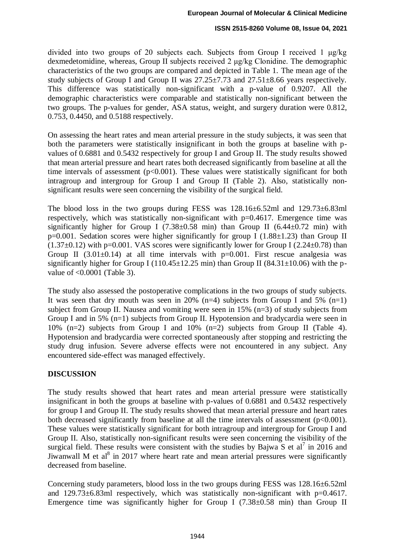divided into two groups of 20 subjects each. Subjects from Group I received 1 μg/kg dexmedetomidine, whereas, Group II subjects received 2 μg/kg Clonidine. The demographic characteristics of the two groups are compared and depicted in Table 1. The mean age of the study subjects of Group I and Group II was  $27.25 \pm 7.73$  and  $27.51 \pm 8.66$  years respectively. This difference was statistically non-significant with a p-value of 0.9207. All the demographic characteristics were comparable and statistically non-significant between the two groups. The p-values for gender, ASA status, weight, and surgery duration were 0.812, 0.753, 0.4450, and 0.5188 respectively.

On assessing the heart rates and mean arterial pressure in the study subjects, it was seen that both the parameters were statistically insignificant in both the groups at baseline with pvalues of 0.6881 and 0.5432 respectively for group I and Group II. The study results showed that mean arterial pressure and heart rates both decreased significantly from baseline at all the time intervals of assessment ( $p<0.001$ ). These values were statistically significant for both intragroup and intergroup for Group I and Group II (Table 2). Also, statistically nonsignificant results were seen concerning the visibility of the surgical field.

The blood loss in the two groups during FESS was  $128.16\pm6.52$  m and  $129.73\pm6.83$  m respectively, which was statistically non-significant with  $p=0.4617$ . Emergence time was significantly higher for Group I (7.38 $\pm$ 0.58 min) than Group II (6.44 $\pm$ 0.72 min) with  $p=0.001$ . Sedation scores were higher significantly for group I (1.88 $\pm$ 1.23) than Group II  $(1.37\pm0.12)$  with p=0.001. VAS scores were significantly lower for Group I (2.24 $\pm$ 0.78) than Group II  $(3.01\pm0.14)$  at all time intervals with p=0.001. First rescue analgesia was significantly higher for Group I (110.45 $\pm$ 12.25 min) than Group II (84.31 $\pm$ 10.06) with the pvalue of <0.0001 (Table 3).

The study also assessed the postoperative complications in the two groups of study subjects. It was seen that dry mouth was seen in 20%  $(n=4)$  subjects from Group I and 5%  $(n=1)$ subject from Group II. Nausea and vomiting were seen in 15% (n=3) of study subjects from Group I and in 5% (n=1) subjects from Group II. Hypotension and bradycardia were seen in 10% (n=2) subjects from Group I and 10% (n=2) subjects from Group II (Table 4). Hypotension and bradycardia were corrected spontaneously after stopping and restricting the study drug infusion. Severe adverse effects were not encountered in any subject. Any encountered side-effect was managed effectively.

# **DISCUSSION**

The study results showed that heart rates and mean arterial pressure were statistically insignificant in both the groups at baseline with p-values of 0.6881 and 0.5432 respectively for group I and Group II. The study results showed that mean arterial pressure and heart rates both decreased significantly from baseline at all the time intervals of assessment  $(p<0.001)$ . These values were statistically significant for both intragroup and intergroup for Group I and Group II. Also, statistically non-significant results were seen concerning the visibility of the surgical field. These results were consistent with the studies by Bajwa S et al<sup>7</sup> in 2016 and Jiwanwall M et al<sup>8</sup> in 2017 where heart rate and mean arterial pressures were significantly decreased from baseline.

Concerning study parameters, blood loss in the two groups during FESS was 128.16±6.52ml and 129.73±6.83ml respectively, which was statistically non-significant with p=0.4617. Emergence time was significantly higher for Group I  $(7.38\pm0.58 \text{ min})$  than Group II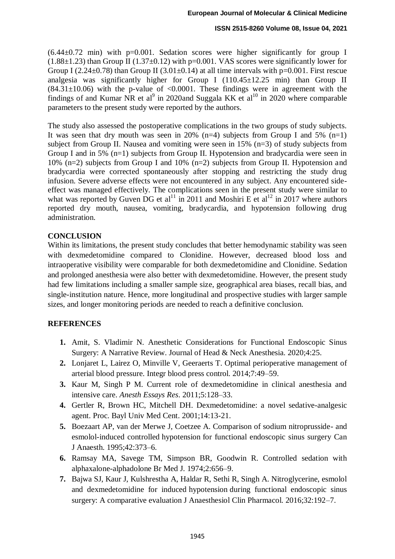$(6.44\pm0.72$  min) with p=0.001. Sedation scores were higher significantly for group I  $(1.88\pm1.23)$  than Group II  $(1.37\pm0.12)$  with p=0.001. VAS scores were significantly lower for Group I (2.24 $\pm$ 0.78) than Group II (3.01 $\pm$ 0.14) at all time intervals with p=0.001. First rescue analgesia was significantly higher for Group I (110.45±12.25 min) than Group II  $(84.31 \pm 10.06)$  with the p-value of <0.0001. These findings were in agreement with the findings of and Kumar NR et al<sup>9</sup> in 2020and Suggala KK et al<sup>10</sup> in 2020 where comparable parameters to the present study were reported by the authors.

The study also assessed the postoperative complications in the two groups of study subjects. It was seen that dry mouth was seen in 20%  $(n=4)$  subjects from Group I and 5%  $(n=1)$ subject from Group II. Nausea and vomiting were seen in 15% (n=3) of study subjects from Group I and in 5% (n=1) subjects from Group II. Hypotension and bradycardia were seen in 10% (n=2) subjects from Group I and 10% (n=2) subjects from Group II. Hypotension and bradycardia were corrected spontaneously after stopping and restricting the study drug infusion. Severe adverse effects were not encountered in any subject. Any encountered sideeffect was managed effectively. The complications seen in the present study were similar to what was reported by Guven DG et al<sup>11</sup> in 2011 and Moshiri E et al<sup>12</sup> in 2017 where authors reported dry mouth, nausea, vomiting, bradycardia, and hypotension following drug administration.

### **CONCLUSION**

Within its limitations, the present study concludes that better hemodynamic stability was seen with dexmedetomidine compared to Clonidine. However, decreased blood loss and intraoperative visibility were comparable for both dexmedetomidine and Clonidine. Sedation and prolonged anesthesia were also better with dexmedetomidine. However, the present study had few limitations including a smaller sample size, geographical area biases, recall bias, and single-institution nature. Hence, more longitudinal and prospective studies with larger sample sizes, and longer monitoring periods are needed to reach a definitive conclusion.

# **REFERENCES**

- **1.** Amit, S. Vladimir N. Anesthetic Considerations for Functional Endoscopic Sinus Surgery: A Narrative Review. Journal of Head & Neck Anesthesia. 2020;4:25.
- **2.** Lonjaret L, Lairez O, Minville V, Geeraerts T. Optimal perioperative management of arterial blood pressure. Integr blood press control. 2014;7:49–59.
- **3.** Kaur M, Singh P M. Current role of dexmedetomidine in clinical anesthesia and intensive care. *Anesth Essays Res*. 2011;5:128–33.
- **4.** Gertler R, Brown HC, Mitchell DH. Dexmedetomidine: a novel sedative-analgesic agent. Proc. Bayl Univ Med Cent. 2001;14:13-21.
- **5.** Boezaart AP, van der Merwe J, Coetzee A. Comparison of sodium nitroprusside- and esmolol-induced controlled hypotension for functional endoscopic sinus surgery Can J Anaesth. 1995;42:373–6.
- **6.** Ramsay MA, Savege TM, Simpson BR, Goodwin R. Controlled sedation with alphaxalone-alphadolone Br Med J. 1974;2:656–9.
- **7.** Bajwa SJ, Kaur J, Kulshrestha A, Haldar R, Sethi R, Singh A. Nitroglycerine, esmolol and dexmedetomidine for induced hypotension during functional endoscopic sinus surgery: A comparative evaluation J Anaesthesiol Clin Pharmacol. 2016;32:192–7.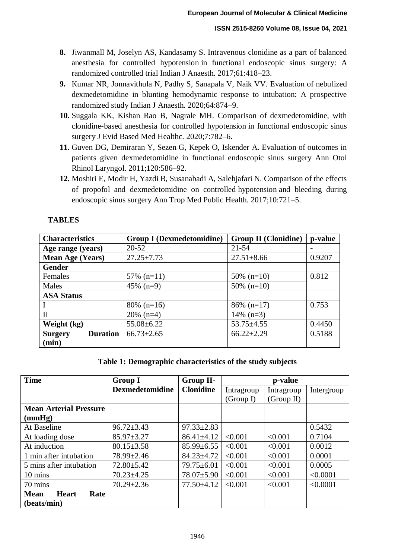- **8.** Jiwanmall M, Joselyn AS, Kandasamy S. Intravenous clonidine as a part of balanced anesthesia for controlled hypotension in functional endoscopic sinus surgery: A randomized controlled trial Indian J Anaesth. 2017;61:418–23.
- **9.** Kumar NR, Jonnavithula N, Padhy S, Sanapala V, Naik VV. Evaluation of nebulized dexmedetomidine in blunting hemodynamic response to intubation: A prospective randomized study Indian J Anaesth. 2020;64:874–9.
- **10.** Suggala KK, Kishan Rao B, Nagrale MH. Comparison of dexmedetomidine, with clonidine-based anesthesia for controlled hypotension in functional endoscopic sinus surgery J Evid Based Med Healthc. 2020;7:782–6.
- **11.** Guven DG, Demiraran Y, Sezen G, Kepek O, Iskender A. Evaluation of outcomes in patients given dexmedetomidine in functional endoscopic sinus surgery Ann Otol Rhinol Laryngol. 2011;120:586–92.
- **12.** Moshiri E, Modir H, Yazdi B, Susanabadi A, Salehjafari N. Comparison of the effects of propofol and dexmedetomidine on controlled hypotension and bleeding during endoscopic sinus surgery Ann Trop Med Public Health. 2017;10:721–5.

# **TABLES**

| <b>Characteristics</b>            | <b>Group I</b> (Dexmedetomidine) | <b>Group II (Clonidine)</b> | p-value |
|-----------------------------------|----------------------------------|-----------------------------|---------|
| Age range (years)                 | $20 - 52$                        | $21 - 54$                   |         |
| <b>Mean Age (Years)</b>           | $27.25 \pm 7.73$                 | $27.51 \pm 8.66$            | 0.9207  |
| <b>Gender</b>                     |                                  |                             |         |
| Females                           | $57\%$ (n=11)                    | $50\%$ (n=10)               | 0.812   |
| Males                             | $45\%$ (n=9)                     | $50\%$ (n=10)               |         |
| <b>ASA Status</b>                 |                                  |                             |         |
|                                   | $80\%$ (n=16)                    | $86\%$ (n=17)               | 0.753   |
| $\mathbf{I}$                      | $20\%$ (n=4)                     | $14\%$ (n=3)                |         |
| Weight (kg)                       | $55.08 \pm 6.22$                 | $53.75 \pm 4.55$            | 0.4450  |
| <b>Duration</b><br><b>Surgery</b> | $66.73 \pm 2.65$                 | $66.22 \pm 2.29$            | 0.5188  |
| (min)                             |                                  |                             |         |

### **Table 1: Demographic characteristics of the study subjects**

| <b>Time</b>                         | <b>Group I</b>         | Group II-        | p-value    |            |            |
|-------------------------------------|------------------------|------------------|------------|------------|------------|
|                                     | <b>Dexmedetomidine</b> | <b>Clonidine</b> | Intragroup | Intragroup | Intergroup |
|                                     |                        |                  | (Group I)  | (Group II) |            |
| <b>Mean Arterial Pressure</b>       |                        |                  |            |            |            |
| (mmHg)                              |                        |                  |            |            |            |
| At Baseline                         | $96.72 \pm 3.43$       | $97.33 \pm 2.83$ |            |            | 0.5432     |
| At loading dose                     | $85.97 \pm 3.27$       | $86.41 \pm 4.12$ | < 0.001    | < 0.001    | 0.7104     |
| At induction                        | $80.15 \pm 3.58$       | $85.99 \pm 6.55$ | < 0.001    | < 0.001    | 0.0012     |
| 1 min after intubation              | $78.99 \pm 2.46$       | $84.23 \pm 4.72$ | < 0.001    | < 0.001    | 0.0001     |
| 5 mins after intubation             | $72.80 \pm 5.42$       | 79.75±6.01       | < 0.001    | < 0.001    | 0.0005     |
| $10 \text{ mins}$                   | $70.23 \pm 4.25$       | $78.07 \pm 5.90$ | < 0.001    | < 0.001    | < 0.0001   |
| 70 mins                             | $70.29 \pm 2.36$       | $77.50 \pm 4.12$ | < 0.001    | < 0.001    | < 0.0001   |
| <b>Mean</b><br><b>Heart</b><br>Rate |                        |                  |            |            |            |
| (beats/min)                         |                        |                  |            |            |            |